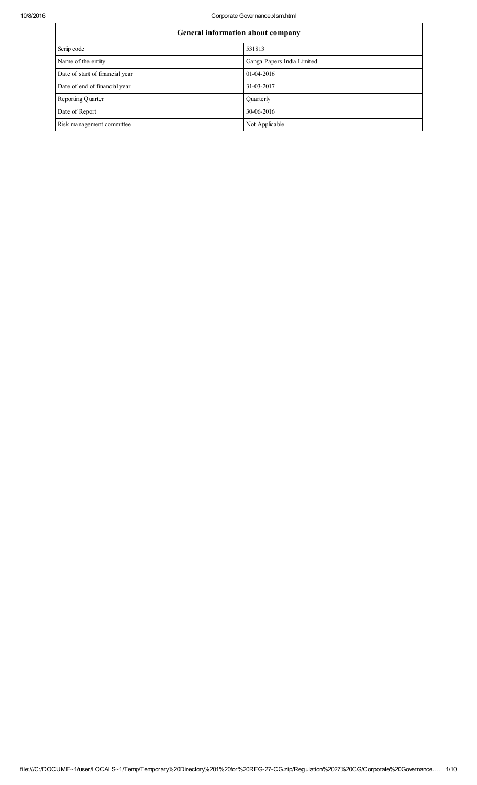10/8/2016 Corporate Governance.xlsm.html

| General information about company |                            |  |  |  |  |
|-----------------------------------|----------------------------|--|--|--|--|
| Scrip code                        | 531813                     |  |  |  |  |
| Name of the entity                | Ganga Papers India Limited |  |  |  |  |
| Date of start of financial year   | 01-04-2016                 |  |  |  |  |
| Date of end of financial year     | 31-03-2017                 |  |  |  |  |
| <b>Reporting Quarter</b>          | Quarterly                  |  |  |  |  |
| Date of Report                    | 30-06-2016                 |  |  |  |  |
| Risk management committee         | Not Applicable             |  |  |  |  |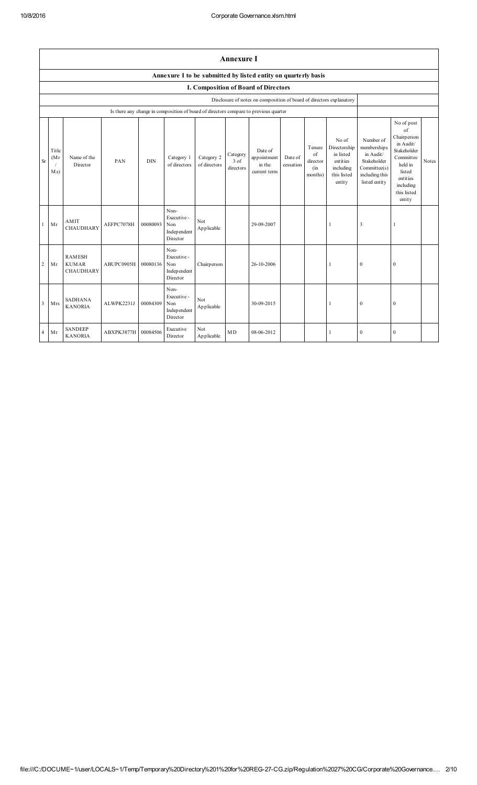|                         | <b>Annexure I</b>    |                                                   |            |            |                                                       |                            |                                 |                                                                                      |                      |                                            |                                                                                      |                                                                                                          |                                                                                                                                                 |       |
|-------------------------|----------------------|---------------------------------------------------|------------|------------|-------------------------------------------------------|----------------------------|---------------------------------|--------------------------------------------------------------------------------------|----------------------|--------------------------------------------|--------------------------------------------------------------------------------------|----------------------------------------------------------------------------------------------------------|-------------------------------------------------------------------------------------------------------------------------------------------------|-------|
|                         |                      |                                                   |            |            |                                                       |                            |                                 | Annexure I to be submitted by listed entity on quarterly basis                       |                      |                                            |                                                                                      |                                                                                                          |                                                                                                                                                 |       |
|                         |                      |                                                   |            |            |                                                       |                            |                                 | I. Composition of Board of Directors                                                 |                      |                                            |                                                                                      |                                                                                                          |                                                                                                                                                 |       |
|                         |                      |                                                   |            |            |                                                       |                            |                                 | Disclosure of notes on composition of board of directors explanatory                 |                      |                                            |                                                                                      |                                                                                                          |                                                                                                                                                 |       |
|                         |                      |                                                   |            |            |                                                       |                            |                                 | Is there any change in composition of board of directors compare to previous quarter |                      |                                            |                                                                                      |                                                                                                          |                                                                                                                                                 |       |
| <b>Sr</b>               | Title<br>(Mr)<br>Ms) | Name of the<br>Director                           | PAN        | <b>DIN</b> | Category 1<br>of directors                            | Category 2<br>of directors | Category<br>$3$ of<br>directors | Date of<br>appointment<br>in the<br>current term                                     | Date of<br>cessation | Tenure<br>of<br>director<br>(in<br>months) | No of<br>Directorship<br>in listed<br>entities<br>including<br>this listed<br>entity | Number of<br>membership s<br>in Audit/<br>Stakeholder<br>Committee(s)<br>including this<br>listed entity | No of post<br>of<br>Chairperson<br>in Audit/<br>Stakeholder<br>Committee<br>held in<br>listed<br>entities<br>including<br>this listed<br>entity | Notes |
| $\mathbf{1}$            | Mr                   | AMIT<br><b>CHAUDHARY</b>                          | AEFPC7078H | 00080093   | Non-<br>Executive -<br>Non<br>Independent<br>Director | Not<br>Applicable          |                                 | 29-09-2007                                                                           |                      |                                            | 1                                                                                    | 3                                                                                                        | 1                                                                                                                                               |       |
| $\overline{c}$          | Mr                   | <b>RAMESH</b><br><b>KUMAR</b><br><b>CHAUDHARY</b> | ABUPC0905H | 00080136   | Non-<br>Executive -<br>Non<br>Independent<br>Director | Chairperson                |                                 | 26-10-2006                                                                           |                      |                                            | 1                                                                                    | $\mathbf{0}$                                                                                             | $\mathbf{0}$                                                                                                                                    |       |
| $\overline{\mathbf{3}}$ | Mrs                  | <b>SADHANA</b><br><b>KANORIA</b>                  | ALWPK2231J | 00084309   | Non-<br>Executive -<br>Non<br>Independent<br>Director | Not<br>Applicable          |                                 | 30-09-2015                                                                           |                      |                                            | 1                                                                                    | $\mathbf{0}$                                                                                             | $\mathbf{0}$                                                                                                                                    |       |
| $\overline{4}$          | Mr                   | <b>SANDEEP</b><br><b>KANORIA</b>                  | ABXPK3877H | 00084506   | Executive<br>Director                                 | Not<br>Applicable          | MD                              | 08-06-2012                                                                           |                      |                                            | $\mathbf{1}$                                                                         | $\mathbf{0}$                                                                                             | $\mathbf{0}$                                                                                                                                    |       |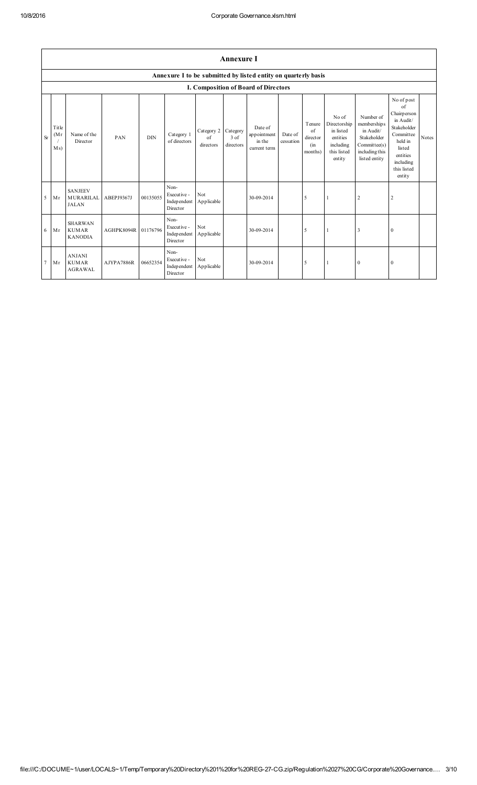|           | <b>Annexure I</b>    |                                                    |            |            |                                                 |                               |                               |                                                                |                      |                                            |                                                                                      |                                                                                                         |                                                                                                                                                 |       |
|-----------|----------------------|----------------------------------------------------|------------|------------|-------------------------------------------------|-------------------------------|-------------------------------|----------------------------------------------------------------|----------------------|--------------------------------------------|--------------------------------------------------------------------------------------|---------------------------------------------------------------------------------------------------------|-------------------------------------------------------------------------------------------------------------------------------------------------|-------|
|           |                      |                                                    |            |            |                                                 |                               |                               | Annexure I to be submitted by listed entity on quarterly basis |                      |                                            |                                                                                      |                                                                                                         |                                                                                                                                                 |       |
|           |                      |                                                    |            |            |                                                 |                               |                               | I. Composition of Board of Directors                           |                      |                                            |                                                                                      |                                                                                                         |                                                                                                                                                 |       |
| <b>Sr</b> | Title<br>(Mr)<br>Ms) | Name of the<br>Director                            | PAN        | <b>DIN</b> | Category 1<br>of directors                      | Category 2<br>of<br>directors | Category<br>3 of<br>directors | Date of<br>appointment<br>in the<br>current term               | Date of<br>cessation | Tenure<br>of<br>director<br>(in<br>months) | No of<br>Directorship<br>in listed<br>entities<br>including<br>this listed<br>entity | Number of<br>memberships<br>in Audit/<br>Stakeholder<br>Committee(s)<br>including this<br>listed entity | No of post<br>of<br>Chairperson<br>in Audit/<br>Stakeholder<br>Committee<br>held in<br>listed<br>entities<br>including<br>this listed<br>entity | Notes |
| 5         | Mr                   | <b>SANJEEV</b><br><b>MURARILAL</b><br><b>JALAN</b> | ABEPJ9367J | 00135055   | Non-<br>Executive -<br>Indep endent<br>Director | Not<br>Applicable             |                               | 30-09-2014                                                     |                      | 5                                          | 1                                                                                    | $\overline{2}$                                                                                          | $\overline{2}$                                                                                                                                  |       |
| 6         | Mr                   | <b>SHARWAN</b><br><b>KUMAR</b><br><b>KANODIA</b>   | AGHPK8094R | 01176796   | Non-<br>Executive -<br>Indep endent<br>Director | Not<br>Applicable             |                               | 30-09-2014                                                     |                      | 5                                          | 1                                                                                    | 3                                                                                                       | $\mathbf{0}$                                                                                                                                    |       |
| 7         | Mr                   | <b>ANJANI</b><br><b>KUMAR</b><br><b>AGRAWAL</b>    | AJYPA7886R | 06652354   | Non-<br>Executive -<br>Indep endent<br>Director | Not<br>Applicable             |                               | 30-09-2014                                                     |                      | 5                                          | -1                                                                                   | $\mathbf{0}$                                                                                            | $\mathbf{0}$                                                                                                                                    |       |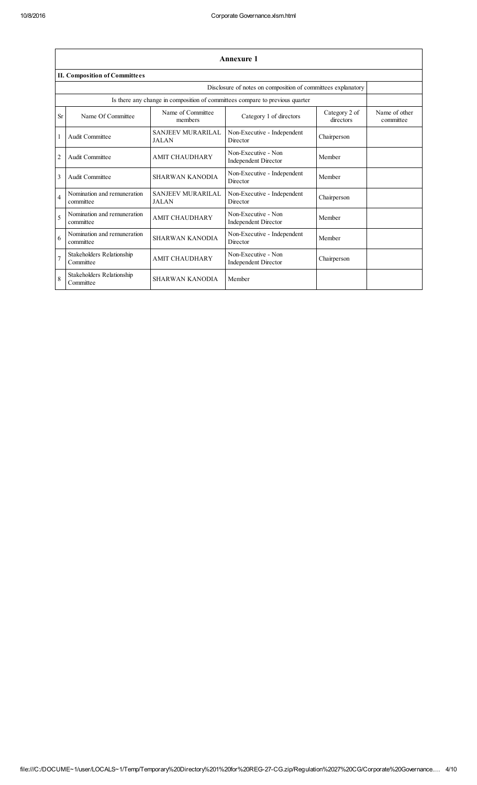|                                                              | <b>Annexure 1</b>                        |                                          |                                                                              |                            |                            |  |  |  |  |
|--------------------------------------------------------------|------------------------------------------|------------------------------------------|------------------------------------------------------------------------------|----------------------------|----------------------------|--|--|--|--|
|                                                              | <b>II. Composition of Committees</b>     |                                          |                                                                              |                            |                            |  |  |  |  |
| Disclosure of notes on composition of committees explanatory |                                          |                                          |                                                                              |                            |                            |  |  |  |  |
|                                                              |                                          |                                          | Is there any change in composition of committees compare to previous quarter |                            |                            |  |  |  |  |
| Sr                                                           | Name Of Committee                        | Name of Committee<br>members             | Category 1 of directors                                                      | Category 2 of<br>directors | Name of other<br>committee |  |  |  |  |
| 1                                                            | Audit Committee                          | <b>SANJEEV MURARILAL</b><br><b>JALAN</b> | Non-Executive - Independent<br>Director                                      | Chairperson                |                            |  |  |  |  |
| $\overline{2}$                                               | Audit Committee                          | <b>AMIT CHAUDHARY</b>                    | Non-Executive - Non<br><b>Independent Director</b>                           | Member                     |                            |  |  |  |  |
| 3                                                            | Audit Committee                          | <b>SHARWAN KANODIA</b>                   | Non-Executive - Independent<br>Director                                      | Member                     |                            |  |  |  |  |
| $\overline{4}$                                               | Nomination and remuneration<br>committee | <b>SANJEEV MURARILAL</b><br><b>JALAN</b> | Non-Executive - Independent<br>Director                                      | Chairperson                |                            |  |  |  |  |
| 5                                                            | Nomination and remuneration<br>committee | <b>AMIT CHAUDHARY</b>                    | Non-Executive - Non<br><b>Independent Director</b>                           | Member                     |                            |  |  |  |  |
| 6                                                            | Nomination and remuneration<br>committee | <b>SHARWAN KANODIA</b>                   | Non-Executive - Independent<br>Director                                      | Member                     |                            |  |  |  |  |
| $\overline{7}$                                               | Stakeholders Relationship<br>Committee   | <b>AMIT CHAUDHARY</b>                    | Non-Executive - Non<br>Independent Director                                  | Chairperson                |                            |  |  |  |  |
| 8                                                            | Stakeholders Relationship<br>Committee   | <b>SHARWAN KANODIA</b>                   | Member                                                                       |                            |                            |  |  |  |  |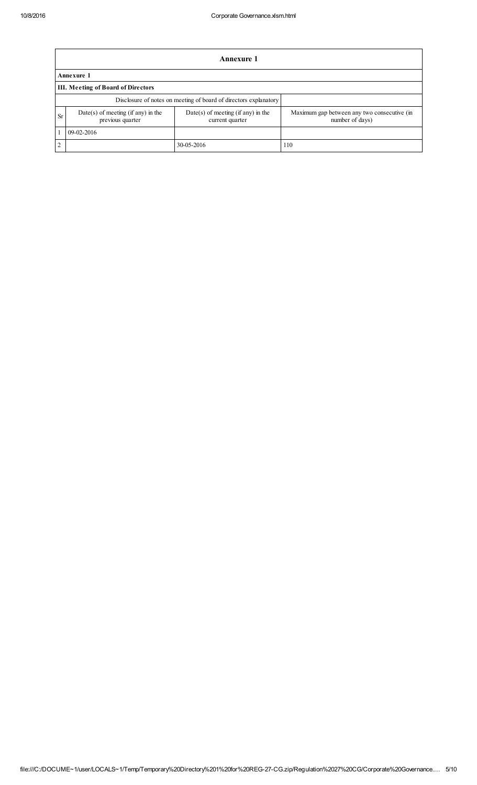|                | <b>Annexure 1</b>                                                |                                                         |                                                                |  |  |  |  |  |
|----------------|------------------------------------------------------------------|---------------------------------------------------------|----------------------------------------------------------------|--|--|--|--|--|
|                | Annexure 1                                                       |                                                         |                                                                |  |  |  |  |  |
|                | III. Meeting of Board of Directors                               |                                                         |                                                                |  |  |  |  |  |
|                | Disclosure of notes on meeting of board of directors explanatory |                                                         |                                                                |  |  |  |  |  |
| <b>Sr</b>      | $Date(s)$ of meeting (if any) in the<br>previous quarter         | $Date(s)$ of meeting (if any) in the<br>current quarter | Maximum gap between any two consecutive (in<br>number of days) |  |  |  |  |  |
|                | 09-02-2016                                                       |                                                         |                                                                |  |  |  |  |  |
| $\overline{c}$ |                                                                  | 30-05-2016                                              | 110                                                            |  |  |  |  |  |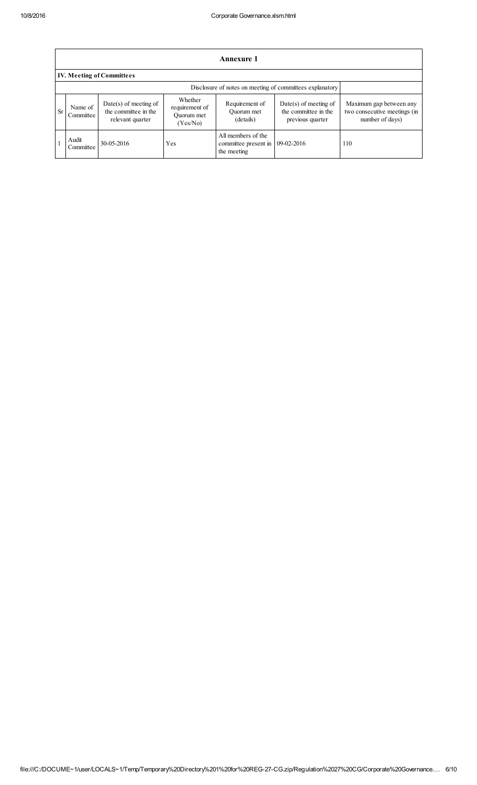|           | <b>Annexure 1</b>                                        |                                                                     |                                                     |                                                           |                                                                     |                                                                            |  |  |
|-----------|----------------------------------------------------------|---------------------------------------------------------------------|-----------------------------------------------------|-----------------------------------------------------------|---------------------------------------------------------------------|----------------------------------------------------------------------------|--|--|
|           |                                                          | <b>IV. Meeting of Committees</b>                                    |                                                     |                                                           |                                                                     |                                                                            |  |  |
|           | Disclosure of notes on meeting of committees explanatory |                                                                     |                                                     |                                                           |                                                                     |                                                                            |  |  |
| <b>Sr</b> | Name of<br>Committee                                     | $Date(s)$ of meeting of<br>the committee in the<br>relevant quarter | Whether<br>requirement of<br>Ouorum met<br>(Yes/No) | Requirement of<br>Ouorum met<br>(details)                 | $Date(s)$ of meeting of<br>the committee in the<br>previous quarter | Maximum gap between any<br>two consecutive meetings (in<br>number of days) |  |  |
|           | Audit<br>Committee                                       | 30-05-2016                                                          | Yes                                                 | All members of the<br>committee present in<br>the meeting | 09-02-2016                                                          | 110                                                                        |  |  |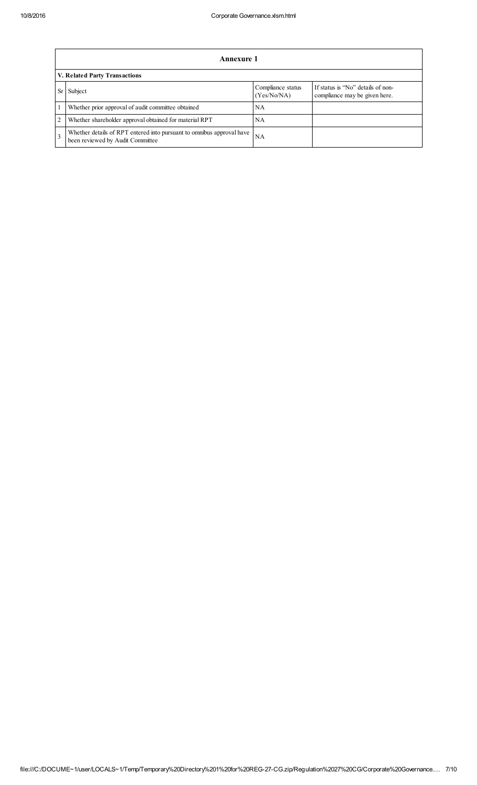|                | Annexure 1                                                                                                |                                  |                                                                    |  |  |  |  |
|----------------|-----------------------------------------------------------------------------------------------------------|----------------------------------|--------------------------------------------------------------------|--|--|--|--|
|                | V. Related Party Transactions                                                                             |                                  |                                                                    |  |  |  |  |
|                | Subject                                                                                                   | Compliance status<br>(Yes/No/NA) | If status is "No" details of non-<br>compliance may be given here. |  |  |  |  |
|                | Whether prior approval of audit committee obtained                                                        | NA                               |                                                                    |  |  |  |  |
| $\overline{2}$ | Whether shareholder approval obtained for material RPT                                                    | NA                               |                                                                    |  |  |  |  |
| $\mathcal{R}$  | Whether details of RPT entered into pursuant to omnibus approval have<br>been reviewed by Audit Committee | NA                               |                                                                    |  |  |  |  |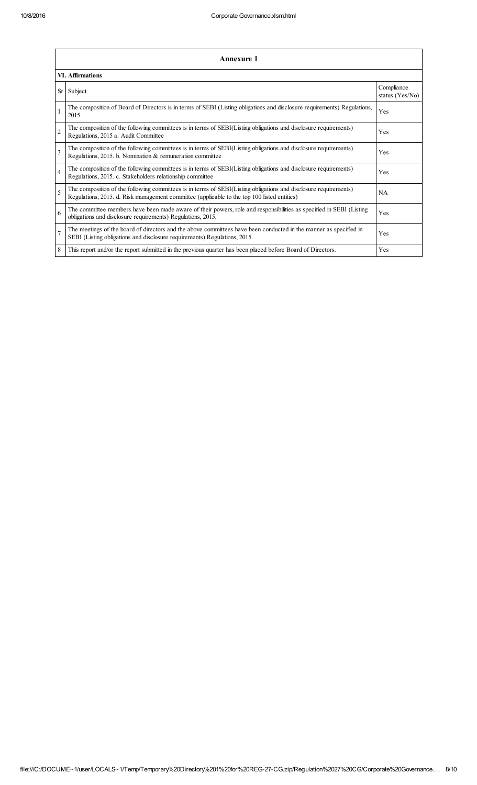|                | <b>Annexure 1</b>                                                                                                                                                                                               |                               |  |  |  |  |  |
|----------------|-----------------------------------------------------------------------------------------------------------------------------------------------------------------------------------------------------------------|-------------------------------|--|--|--|--|--|
|                | <b>VI. Affirmations</b>                                                                                                                                                                                         |                               |  |  |  |  |  |
| Sr             | Subject                                                                                                                                                                                                         | Compliance<br>status (Yes/No) |  |  |  |  |  |
|                | The composition of Board of Directors is in terms of SEBI (Listing obligations and disclosure requirements) Regulations,<br>2015                                                                                | Yes                           |  |  |  |  |  |
| $\overline{2}$ | The composition of the following committees is in terms of SEBI(Listing obligations and disclosure requirements)<br>Regulations, 2015 a. Audit Committee                                                        | Yes                           |  |  |  |  |  |
| 3              | The composition of the following committees is in terms of SEBI(Listing obligations and disclosure requirements)<br>Regulations, 2015. b. Nomination & remuneration committee                                   | Yes                           |  |  |  |  |  |
| $\overline{4}$ | The composition of the following committees is in terms of SEBI(Listing obligations and disclosure requirements)<br>Regulations, 2015. c. Stakeholders relationship committee                                   | Yes                           |  |  |  |  |  |
| 5              | The composition of the following committees is in terms of SEBI(Listing obligations and disclosure requirements)<br>Regulations, 2015. d. Risk management committee (applicable to the top 100 listed entities) | <b>NA</b>                     |  |  |  |  |  |
| 6              | The committee members have been made aware of their powers, role and responsibilities as specified in SEBI (Listing<br>obligations and disclosure requirements) Regulations, 2015.                              | Yes                           |  |  |  |  |  |
| $\overline{7}$ | The meetings of the board of directors and the above committees have been conducted in the manner as specified in<br>SEBI (Listing obligations and disclosure requirements) Regulations, 2015.                  | Yes                           |  |  |  |  |  |
| 8              | This report and/or the report submitted in the previous quarter has been placed before Board of Directors.                                                                                                      | Yes                           |  |  |  |  |  |